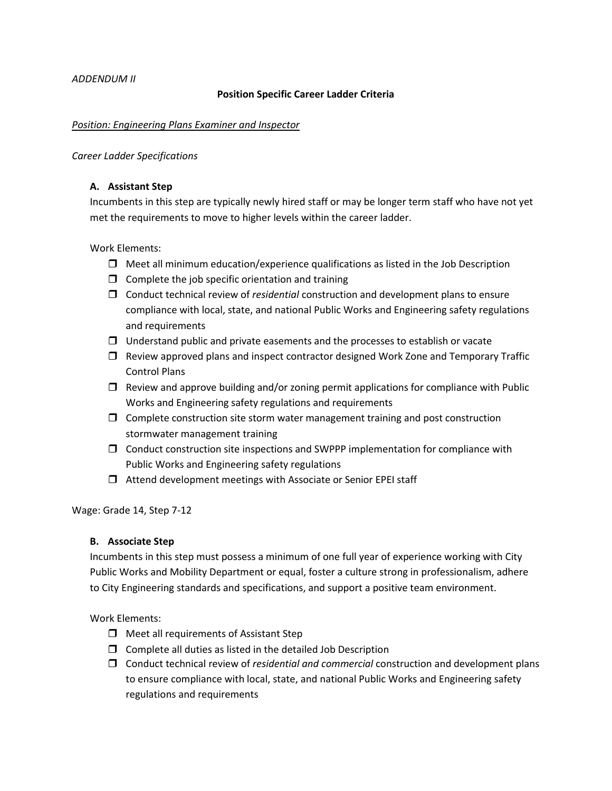## *ADDENDUM II*

## **Position Specific Career Ladder Criteria**

#### *Position: Engineering Plans Examiner and Inspector*

#### *Career Ladder Specifications*

## **A. Assistant Step**

Incumbents in this step are typically newly hired staff or may be longer term staff who have not yet met the requirements to move to higher levels within the career ladder.

Work Elements:

- $\Box$  Meet all minimum education/experience qualifications as listed in the Job Description
- $\Box$  Complete the job specific orientation and training
- Conduct technical review of *residential* construction and development plans to ensure compliance with local, state, and national Public Works and Engineering safety regulations and requirements
- $\Box$  Understand public and private easements and the processes to establish or vacate
- $\Box$  Review approved plans and inspect contractor designed Work Zone and Temporary Traffic Control Plans
- $\Box$  Review and approve building and/or zoning permit applications for compliance with Public Works and Engineering safety regulations and requirements
- $\Box$  Complete construction site storm water management training and post construction stormwater management training
- $\Box$  Conduct construction site inspections and SWPPP implementation for compliance with Public Works and Engineering safety regulations
- $\Box$  Attend development meetings with Associate or Senior EPEI staff

Wage: Grade 14, Step 7-12

# **B. Associate Step**

Incumbents in this step must possess a minimum of one full year of experience working with City Public Works and Mobility Department or equal, foster a culture strong in professionalism, adhere to City Engineering standards and specifications, and support a positive team environment.

Work Elements:

- $\Box$  Meet all requirements of Assistant Step
- $\square$  Complete all duties as listed in the detailed Job Description
- Conduct technical review of *residential and commercial* construction and development plans to ensure compliance with local, state, and national Public Works and Engineering safety regulations and requirements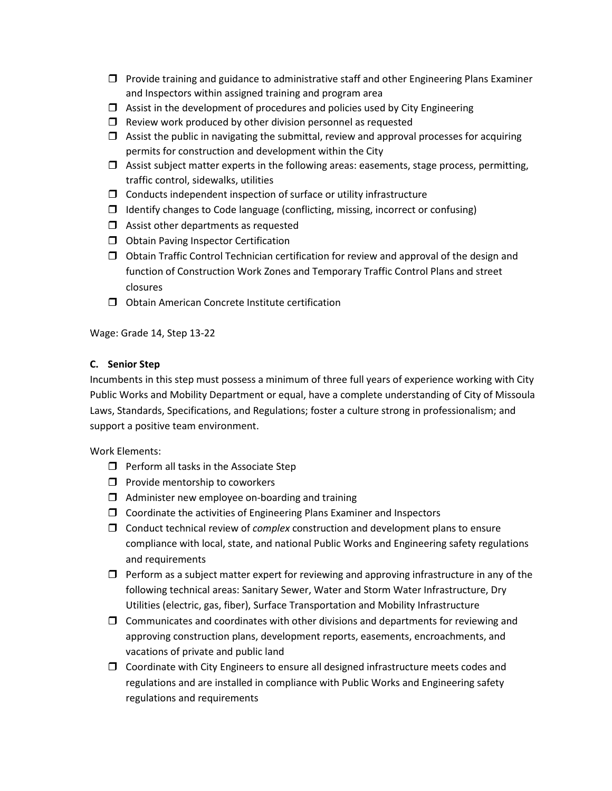- $\Box$  Provide training and guidance to administrative staff and other Engineering Plans Examiner and Inspectors within assigned training and program area
- $\Box$  Assist in the development of procedures and policies used by City Engineering
- $\Box$  Review work produced by other division personnel as requested
- $\Box$  Assist the public in navigating the submittal, review and approval processes for acquiring permits for construction and development within the City
- $\Box$  Assist subject matter experts in the following areas: easements, stage process, permitting, traffic control, sidewalks, utilities
- $\Box$  Conducts independent inspection of surface or utility infrastructure
- $\Box$  Identify changes to Code language (conflicting, missing, incorrect or confusing)
- $\Box$  Assist other departments as requested
- O Obtain Paving Inspector Certification
- $\Box$  Obtain Traffic Control Technician certification for review and approval of the design and function of Construction Work Zones and Temporary Traffic Control Plans and street closures
- $\Box$  Obtain American Concrete Institute certification

Wage: Grade 14, Step 13-22

# **C. Senior Step**

Incumbents in this step must possess a minimum of three full years of experience working with City Public Works and Mobility Department or equal, have a complete understanding of City of Missoula Laws, Standards, Specifications, and Regulations; foster a culture strong in professionalism; and support a positive team environment.

Work Elements:

- $\Box$  Perform all tasks in the Associate Step
- $\Box$  Provide mentorship to coworkers
- $\Box$  Administer new employee on-boarding and training
- $\Box$  Coordinate the activities of Engineering Plans Examiner and Inspectors
- Conduct technical review of *complex* construction and development plans to ensure compliance with local, state, and national Public Works and Engineering safety regulations and requirements
- $\Box$  Perform as a subject matter expert for reviewing and approving infrastructure in any of the following technical areas: Sanitary Sewer, Water and Storm Water Infrastructure, Dry Utilities (electric, gas, fiber), Surface Transportation and Mobility Infrastructure
- $\Box$  Communicates and coordinates with other divisions and departments for reviewing and approving construction plans, development reports, easements, encroachments, and vacations of private and public land
- $\Box$  Coordinate with City Engineers to ensure all designed infrastructure meets codes and regulations and are installed in compliance with Public Works and Engineering safety regulations and requirements